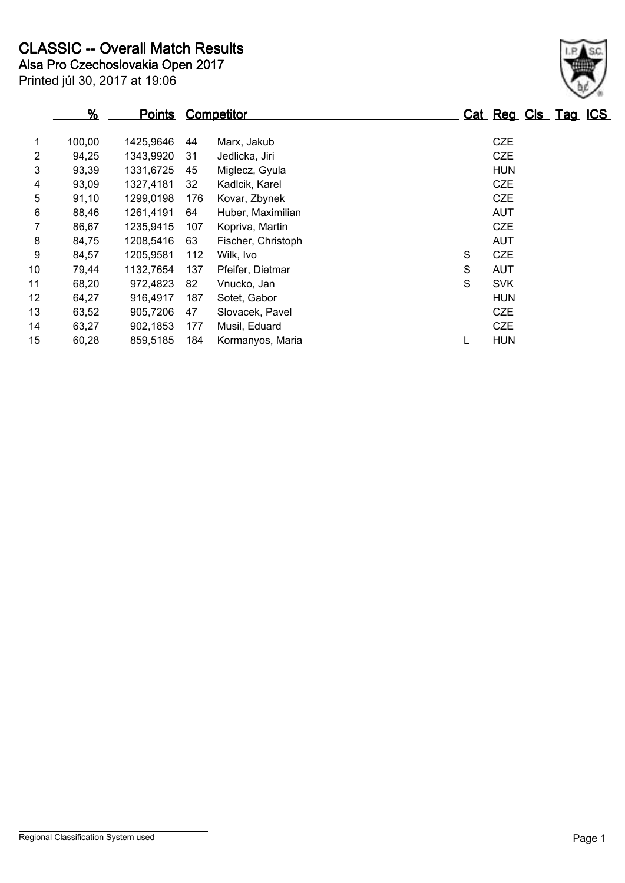Printed júl 30, 2017 at 19:06 **Alsa Pro Czechoslovakia Open 2017 CLASSIC -- Overall Match Results**

|    | %      | <u>Points</u> |     | <b>Competitor</b>  |   | Cat Reg Cls Tag ICS |  |  |
|----|--------|---------------|-----|--------------------|---|---------------------|--|--|
| 1  | 100,00 | 1425,9646     | 44  | Marx, Jakub        |   | <b>CZE</b>          |  |  |
| 2  | 94,25  | 1343,9920     | 31  | Jedlicka, Jiri     |   | <b>CZE</b>          |  |  |
| 3  | 93,39  | 1331,6725     | 45  | Miglecz, Gyula     |   | <b>HUN</b>          |  |  |
| 4  | 93,09  | 1327.4181     | 32  | Kadlcik, Karel     |   | <b>CZE</b>          |  |  |
| 5  | 91,10  | 1299,0198     | 176 | Kovar, Zbynek      |   | <b>CZE</b>          |  |  |
| 6  | 88,46  | 1261.4191     | 64  | Huber, Maximilian  |   | <b>AUT</b>          |  |  |
| 7  | 86,67  | 1235,9415     | 107 | Kopriva, Martin    |   | <b>CZE</b>          |  |  |
| 8  | 84,75  | 1208,5416     | 63  | Fischer, Christoph |   | <b>AUT</b>          |  |  |
| 9  | 84,57  | 1205,9581     | 112 | Wilk, Ivo          | S | <b>CZE</b>          |  |  |
| 10 | 79,44  | 1132,7654     | 137 | Pfeifer, Dietmar   | S | <b>AUT</b>          |  |  |
| 11 | 68,20  | 972.4823      | 82  | Vnucko, Jan        | S | <b>SVK</b>          |  |  |
| 12 | 64,27  | 916,4917      | 187 | Sotet, Gabor       |   | <b>HUN</b>          |  |  |
| 13 | 63,52  | 905,7206      | 47  | Slovacek, Pavel    |   | <b>CZE</b>          |  |  |
| 14 | 63,27  | 902,1853      | 177 | Musil, Eduard      |   | <b>CZE</b>          |  |  |
| 15 | 60,28  | 859,5185      | 184 | Kormanyos, Maria   |   | <b>HUN</b>          |  |  |

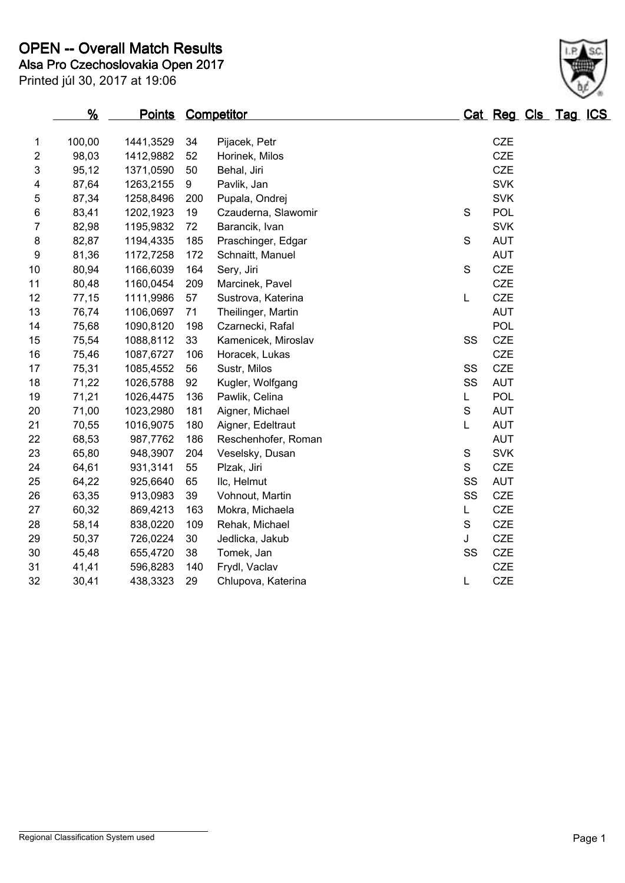# **Alsa Pro Czechoslovakia Open 2017 OPEN -- Overall Match Results**

Printed júl 30, 2017 at 19:06

|                | <u>%</u><br><u>Points</u> |           | <b>Competitor</b> |                     |             | Cat Reg Cls Tag ICS |  |
|----------------|---------------------------|-----------|-------------------|---------------------|-------------|---------------------|--|
| 1              | 100,00                    | 1441,3529 | 34                | Pijacek, Petr       |             | CZE                 |  |
| $\overline{c}$ | 98,03                     | 1412,9882 | 52                | Horinek, Milos      |             | <b>CZE</b>          |  |
| 3              | 95,12                     | 1371,0590 | 50                | Behal, Jiri         |             | CZE                 |  |
| 4              | 87,64                     | 1263,2155 | 9                 | Pavlik, Jan         |             | <b>SVK</b>          |  |
| 5              | 87,34                     | 1258,8496 | 200               | Pupala, Ondrej      |             | <b>SVK</b>          |  |
| 6              | 83,41                     | 1202,1923 | 19                | Czauderna, Slawomir | $\mathsf S$ | <b>POL</b>          |  |
| 7              | 82,98                     | 1195,9832 | 72                | Barancik, Ivan      |             | <b>SVK</b>          |  |
| 8              | 82,87                     | 1194,4335 | 185               | Praschinger, Edgar  | $\mathbf S$ | <b>AUT</b>          |  |
| 9              | 81,36                     | 1172,7258 | 172               | Schnaitt, Manuel    |             | <b>AUT</b>          |  |
| 10             | 80,94                     | 1166,6039 | 164               | Sery, Jiri          | $\mathbf S$ | <b>CZE</b>          |  |
| 11             | 80,48                     | 1160,0454 | 209               | Marcinek, Pavel     |             | <b>CZE</b>          |  |
| 12             | 77,15                     | 1111,9986 | 57                | Sustrova, Katerina  | L           | <b>CZE</b>          |  |
| 13             | 76,74                     | 1106,0697 | 71                | Theilinger, Martin  |             | <b>AUT</b>          |  |
| 14             | 75,68                     | 1090,8120 | 198               | Czarnecki, Rafal    |             | <b>POL</b>          |  |
| 15             | 75,54                     | 1088,8112 | 33                | Kamenicek, Miroslav | SS          | <b>CZE</b>          |  |
| 16             | 75,46                     | 1087,6727 | 106               | Horacek, Lukas      |             | <b>CZE</b>          |  |
| 17             | 75,31                     | 1085,4552 | 56                | Sustr, Milos        | SS          | <b>CZE</b>          |  |
| 18             | 71,22                     | 1026,5788 | 92                | Kugler, Wolfgang    | SS          | <b>AUT</b>          |  |
| 19             | 71,21                     | 1026,4475 | 136               | Pawlik, Celina      | L           | <b>POL</b>          |  |
| 20             | 71,00                     | 1023,2980 | 181               | Aigner, Michael     | $\mathbf S$ | <b>AUT</b>          |  |
| 21             | 70,55                     | 1016,9075 | 180               | Aigner, Edeltraut   | Г           | <b>AUT</b>          |  |
| 22             | 68,53                     | 987,7762  | 186               | Reschenhofer, Roman |             | <b>AUT</b>          |  |
| 23             | 65,80                     | 948,3907  | 204               | Veselsky, Dusan     | $\mathsf S$ | <b>SVK</b>          |  |
| 24             | 64,61                     | 931,3141  | 55                | Plzak, Jiri         | S           | <b>CZE</b>          |  |
| 25             | 64,22                     | 925,6640  | 65                | Ilc, Helmut         | SS          | AUT                 |  |
| 26             | 63,35                     | 913,0983  | 39                | Vohnout, Martin     | SS          | <b>CZE</b>          |  |
| 27             | 60,32                     | 869,4213  | 163               | Mokra, Michaela     | L           | CZE                 |  |
| 28             | 58,14                     | 838,0220  | 109               | Rehak, Michael      | S           | <b>CZE</b>          |  |
| 29             | 50,37                     | 726,0224  | 30                | Jedlicka, Jakub     | J           | CZE                 |  |
| 30             | 45,48                     | 655,4720  | 38                | Tomek, Jan          | SS          | <b>CZE</b>          |  |
| 31             | 41,41                     | 596,8283  | 140               | Frydl, Vaclav       |             | CZE                 |  |
| 32             | 30,41                     | 438,3323  | 29                | Chlupova, Katerina  | L           | CZE                 |  |

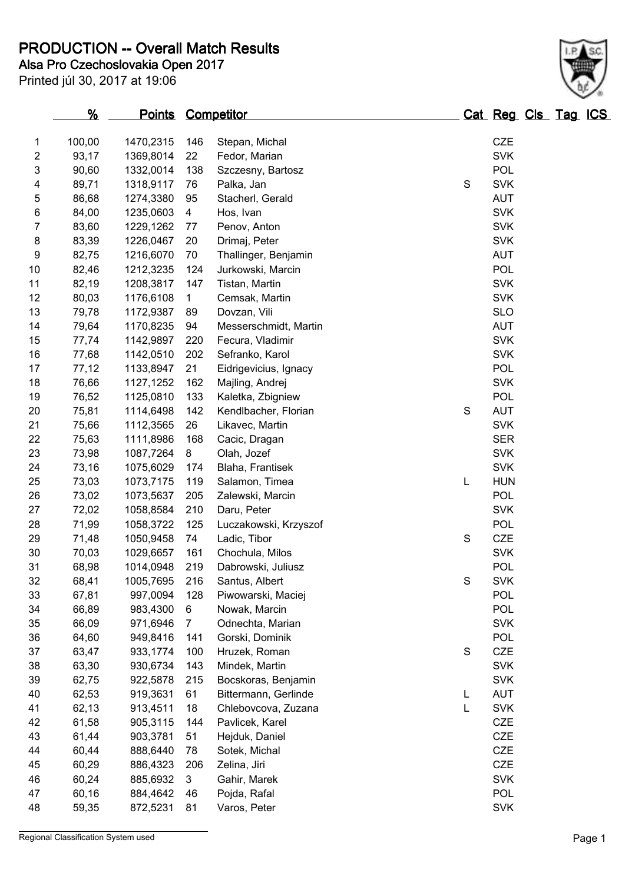**Alsa Pro Czechoslovakia Open 2017 PRODUCTION -- Overall Match Results**

Printed júl 30, 2017 at 19:06

| 1              | 100,00 | 1470,2315 | 146            | Stepan, Michal        |             | <b>CZE</b> |
|----------------|--------|-----------|----------------|-----------------------|-------------|------------|
| $\sqrt{2}$     | 93,17  | 1369,8014 | 22             | Fedor, Marian         |             | <b>SVK</b> |
| 3              | 90,60  | 1332,0014 | 138            | Szczesny, Bartosz     |             | <b>POL</b> |
| 4              | 89,71  | 1318,9117 | 76             | Palka, Jan            | $\mathbf S$ | <b>SVK</b> |
| 5              | 86,68  | 1274,3380 | 95             | Stacherl, Gerald      |             | <b>AUT</b> |
| $\,6$          | 84,00  | 1235,0603 | $\overline{4}$ | Hos, Ivan             |             | <b>SVK</b> |
| $\overline{7}$ | 83,60  | 1229,1262 | 77             | Penov, Anton          |             | <b>SVK</b> |
| 8              | 83,39  | 1226,0467 | 20             | Drimaj, Peter         |             | <b>SVK</b> |
| 9              | 82,75  | 1216,6070 | 70             | Thallinger, Benjamin  |             | <b>AUT</b> |
| 10             | 82,46  | 1212,3235 | 124            | Jurkowski, Marcin     |             | POL        |
| 11             | 82,19  | 1208,3817 | 147            | Tistan, Martin        |             | <b>SVK</b> |
| 12             | 80,03  | 1176,6108 | $\mathbf{1}$   | Cemsak, Martin        |             | <b>SVK</b> |
| 13             | 79,78  | 1172,9387 | 89             | Dovzan, Vili          |             | <b>SLO</b> |
| 14             | 79,64  | 1170,8235 | 94             | Messerschmidt, Martin |             | <b>AUT</b> |
| 15             | 77,74  | 1142,9897 | 220            | Fecura, Vladimir      |             | <b>SVK</b> |
| 16             | 77,68  | 1142,0510 | 202            | Sefranko, Karol       |             | <b>SVK</b> |
| 17             | 77,12  | 1133,8947 | 21             | Eidrigevicius, Ignacy |             | POL        |
| 18             | 76,66  | 1127,1252 | 162            | Majling, Andrej       |             | <b>SVK</b> |
| 19             | 76,52  | 1125,0810 | 133            | Kaletka, Zbigniew     |             | <b>POL</b> |
| 20             | 75,81  | 1114,6498 | 142            | Kendlbacher, Florian  | $\mathbf S$ | <b>AUT</b> |
| 21             | 75,66  | 1112,3565 | 26             | Likavec, Martin       |             | <b>SVK</b> |
| 22             | 75,63  | 1111,8986 | 168            | Cacic, Dragan         |             | <b>SER</b> |
| 23             | 73,98  | 1087,7264 | 8              | Olah, Jozef           |             | <b>SVK</b> |
| 24             | 73,16  | 1075,6029 | 174            | Blaha, Frantisek      |             | <b>SVK</b> |
| 25             | 73,03  | 1073,7175 | 119            | Salamon, Timea        | L           | <b>HUN</b> |
| 26             | 73,02  | 1073,5637 | 205            | Zalewski, Marcin      |             | POL        |
| 27             | 72,02  | 1058,8584 | 210            | Daru, Peter           |             | <b>SVK</b> |
| 28             | 71,99  | 1058,3722 | 125            | Luczakowski, Krzyszof |             | <b>POL</b> |
| 29             | 71,48  | 1050,9458 | 74             | Ladic, Tibor          | S           | <b>CZE</b> |
| 30             | 70,03  | 1029,6657 | 161            | Chochula, Milos       |             | <b>SVK</b> |
| 31             | 68,98  | 1014,0948 | 219            | Dabrowski, Juliusz    |             | <b>POL</b> |
| 32             | 68,41  | 1005,7695 | 216            | Santus, Albert        | $\mathbf S$ | <b>SVK</b> |
| 33             | 67,81  | 997,0094  | 128            | Piwowarski, Maciej    |             | <b>POL</b> |
| 34             | 66,89  | 983,4300  | 6              | Nowak, Marcin         |             | <b>POL</b> |
| 35             | 66,09  | 971,6946  | $\overline{7}$ | Odnechta, Marian      |             | <b>SVK</b> |
| 36             | 64,60  | 949,8416  | 141            | Gorski, Dominik       |             | <b>POL</b> |
| 37             | 63,47  | 933,1774  | 100            | Hruzek, Roman         | S           | CZE        |
| 38             | 63,30  | 930,6734  | 143            | Mindek, Martin        |             | <b>SVK</b> |
| 39             | 62,75  | 922,5878  | 215            | Bocskoras, Benjamin   |             | <b>SVK</b> |
| 40             | 62,53  | 919,3631  | 61             | Bittermann, Gerlinde  | L           | <b>AUT</b> |
| 41             | 62,13  | 913,4511  | 18             | Chlebovcova, Zuzana   | L           | <b>SVK</b> |
| 42             | 61,58  | 905,3115  | 144            | Pavlicek, Karel       |             | <b>CZE</b> |
| 43             | 61,44  | 903,3781  | 51             | Hejduk, Daniel        |             | <b>CZE</b> |
| 44             | 60,44  | 888,6440  | 78             | Sotek, Michal         |             | <b>CZE</b> |
| 45             | 60,29  | 886,4323  | 206            | Zelina, Jiri          |             | <b>CZE</b> |
| 46             | 60,24  | 885,6932  | 3              | Gahir, Marek          |             | <b>SVK</b> |
| 47             | 60,16  | 884,4642  | 46             | Pojda, Rafal          |             | POL        |

48 59,35 872,5231 81 Varos, Peter SVK

**% Points Competitor Cat Reg Cls Tag ICS**

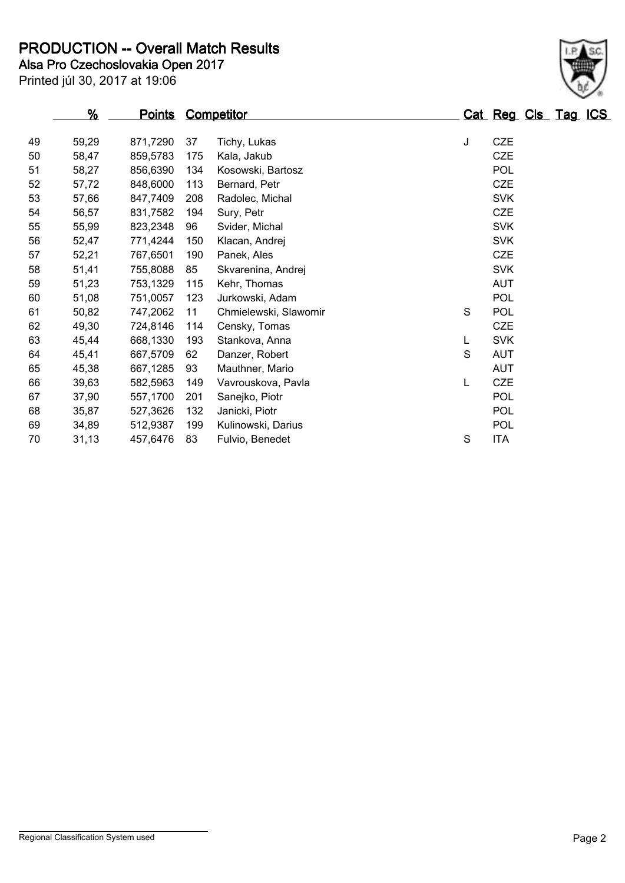**Alsa Pro Czechoslovakia Open 2017 PRODUCTION -- Overall Match Results**

Printed júl 30, 2017 at 19:06

|    | %     | <u>Points</u> | <b>Competitor</b> |                       |   | Cat Reg Cls Tag ICS |  |  |
|----|-------|---------------|-------------------|-----------------------|---|---------------------|--|--|
| 49 | 59,29 | 871,7290      | 37                | Tichy, Lukas          | J | CZE                 |  |  |
| 50 | 58,47 | 859,5783      | 175               | Kala, Jakub           |   | <b>CZE</b>          |  |  |
| 51 | 58,27 | 856,6390      | 134               | Kosowski, Bartosz     |   | POL                 |  |  |
| 52 | 57,72 | 848,6000      | 113               | Bernard, Petr         |   | <b>CZE</b>          |  |  |
| 53 | 57,66 | 847,7409      | 208               | Radolec, Michal       |   | <b>SVK</b>          |  |  |
| 54 | 56,57 | 831,7582      | 194               | Sury, Petr            |   | <b>CZE</b>          |  |  |
| 55 | 55,99 | 823,2348      | 96                | Svider, Michal        |   | <b>SVK</b>          |  |  |
| 56 | 52,47 | 771,4244      | 150               | Klacan, Andrej        |   | <b>SVK</b>          |  |  |
| 57 | 52,21 | 767,6501      | 190               | Panek, Ales           |   | <b>CZE</b>          |  |  |
| 58 | 51,41 | 755,8088      | 85                | Skvarenina, Andrej    |   | <b>SVK</b>          |  |  |
| 59 | 51,23 | 753,1329      | 115               | Kehr, Thomas          |   | <b>AUT</b>          |  |  |
| 60 | 51,08 | 751,0057      | 123               | Jurkowski, Adam       |   | POL                 |  |  |
| 61 | 50,82 | 747,2062      | 11                | Chmielewski, Slawomir | S | <b>POL</b>          |  |  |
| 62 | 49,30 | 724,8146      | 114               | Censky, Tomas         |   | <b>CZE</b>          |  |  |
| 63 | 45,44 | 668,1330      | 193               | Stankova, Anna        | L | <b>SVK</b>          |  |  |
| 64 | 45,41 | 667,5709      | 62                | Danzer, Robert        | S | <b>AUT</b>          |  |  |
| 65 | 45,38 | 667,1285      | 93                | Mauthner, Mario       |   | <b>AUT</b>          |  |  |
| 66 | 39,63 | 582,5963      | 149               | Vavrouskova, Pavla    | L | <b>CZE</b>          |  |  |
| 67 | 37,90 | 557,1700      | 201               | Sanejko, Piotr        |   | <b>POL</b>          |  |  |
| 68 | 35,87 | 527,3626      | 132               | Janicki, Piotr        |   | POL                 |  |  |
| 69 | 34,89 | 512,9387      | 199               | Kulinowski, Darius    |   | POL                 |  |  |
| 70 | 31,13 | 457,6476      | 83                | Fulvio, Benedet       | S | <b>ITA</b>          |  |  |
|    |       |               |                   |                       |   |                     |  |  |

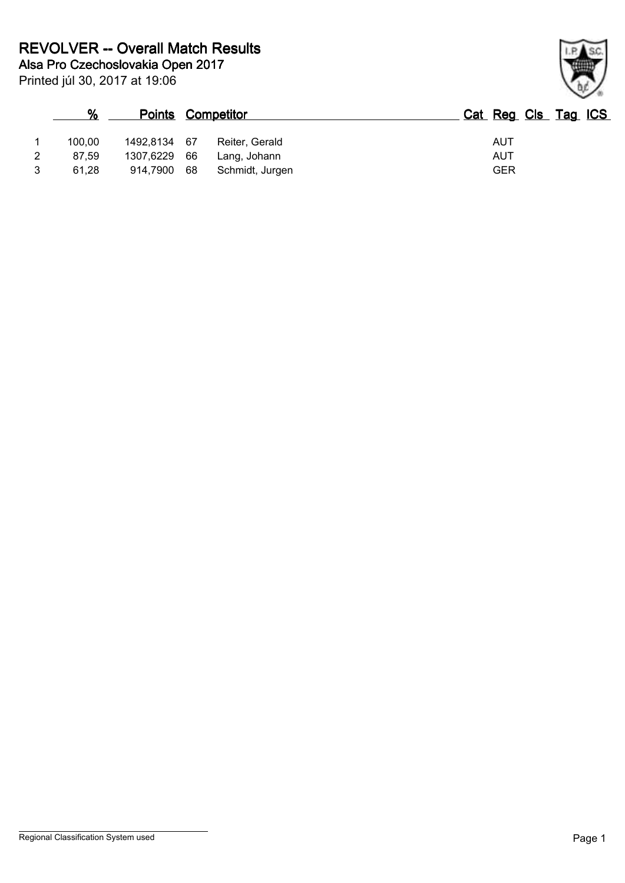| %      |              |    | <b>Points Competitor</b> | Cat Reg Cls Tag ICS |
|--------|--------------|----|--------------------------|---------------------|
| 100.00 | 1492,8134 67 |    | Reiter, Gerald           | AUT                 |
| 87.59  | 1307.6229 66 |    | Lang, Johann             | AUT                 |
| 61.28  | 914,7900     | 68 | Schmidt, Jurgen          | <b>GER</b>          |

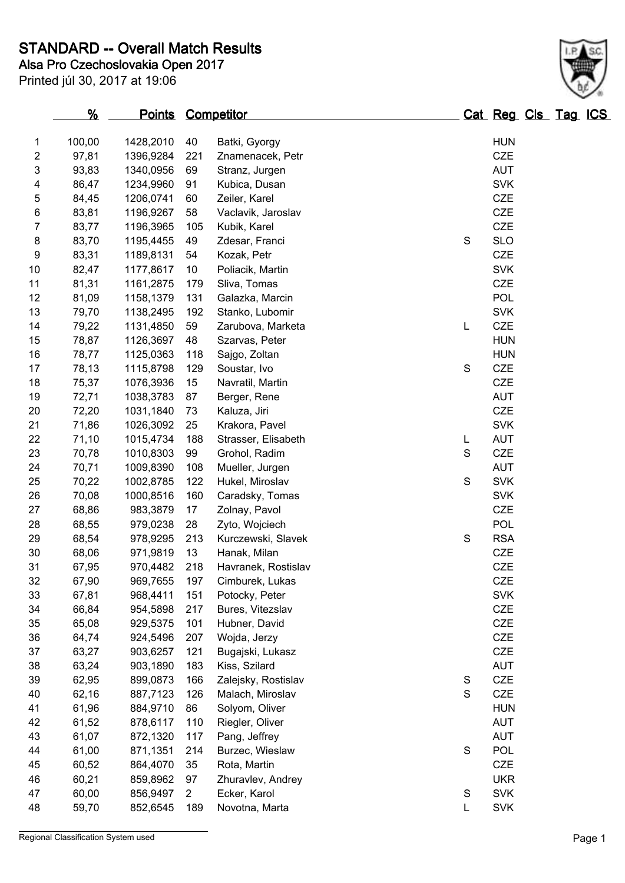**Alsa Pro Czechoslovakia Open 2017 STANDARD -- Overall Match Results**

Printed júl 30, 2017 at 19:06

|                         | <u>%</u> | <b>Points Competitor</b> |     |                     |             | <u> Cat Reg Cls Tag ICS</u> |  |
|-------------------------|----------|--------------------------|-----|---------------------|-------------|-----------------------------|--|
| 1                       | 100,00   | 1428,2010                | 40  | Batki, Gyorgy       |             | <b>HUN</b>                  |  |
| $\overline{2}$          | 97,81    | 1396,9284                | 221 | Znamenacek, Petr    |             | <b>CZE</b>                  |  |
| 3                       | 93,83    | 1340,0956                | 69  | Stranz, Jurgen      |             | <b>AUT</b>                  |  |
| $\overline{\mathbf{4}}$ | 86,47    | 1234,9960                | 91  | Kubica, Dusan       |             | <b>SVK</b>                  |  |
| 5                       | 84,45    | 1206,0741                | 60  | Zeiler, Karel       |             | <b>CZE</b>                  |  |
| 6                       | 83,81    | 1196,9267                | 58  | Vaclavik, Jaroslav  |             | <b>CZE</b>                  |  |
| 7                       | 83,77    | 1196,3965                | 105 | Kubik, Karel        |             | <b>CZE</b>                  |  |
| 8                       | 83,70    | 1195,4455                | 49  | Zdesar, Franci      | $\mathbf S$ | <b>SLO</b>                  |  |
| 9                       | 83,31    | 1189,8131                | 54  | Kozak, Petr         |             | CZE                         |  |
| 10                      | 82,47    | 1177,8617                | 10  | Poliacik, Martin    |             | <b>SVK</b>                  |  |
| 11                      | 81,31    | 1161,2875                | 179 | Sliva, Tomas        |             | <b>CZE</b>                  |  |
| 12                      | 81,09    | 1158,1379                | 131 | Galazka, Marcin     |             | POL                         |  |
| 13                      | 79,70    | 1138,2495                | 192 | Stanko, Lubomir     |             | <b>SVK</b>                  |  |
| 14                      | 79,22    | 1131,4850                | 59  | Zarubova, Marketa   | L           | <b>CZE</b>                  |  |
| 15                      | 78,87    | 1126,3697                | 48  | Szarvas, Peter      |             | <b>HUN</b>                  |  |
| 16                      | 78,77    | 1125,0363                | 118 | Sajgo, Zoltan       |             | <b>HUN</b>                  |  |
| 17                      | 78,13    | 1115,8798                | 129 | Soustar, Ivo        | S           | <b>CZE</b>                  |  |
| 18                      | 75,37    | 1076,3936                | 15  | Navratil, Martin    |             | CZE                         |  |
| 19                      | 72,71    | 1038,3783                | 87  | Berger, Rene        |             | <b>AUT</b>                  |  |
| 20                      | 72,20    | 1031,1840                | 73  | Kaluza, Jiri        |             | <b>CZE</b>                  |  |
| 21                      | 71,86    | 1026,3092                | 25  | Krakora, Pavel      |             | <b>SVK</b>                  |  |
| 22                      | 71,10    | 1015,4734                | 188 | Strasser, Elisabeth | L           | <b>AUT</b>                  |  |
| 23                      | 70,78    | 1010,8303                | 99  | Grohol, Radim       | S           | <b>CZE</b>                  |  |
| 24                      | 70,71    | 1009,8390                | 108 | Mueller, Jurgen     |             | <b>AUT</b>                  |  |
| 25                      | 70,22    | 1002,8785                | 122 | Hukel, Miroslav     | S           | <b>SVK</b>                  |  |
| 26                      | 70,08    | 1000,8516                | 160 | Caradsky, Tomas     |             | <b>SVK</b>                  |  |
| 27                      | 68,86    | 983,3879                 | 17  | Zolnay, Pavol       |             | CZE                         |  |
| 28                      | 68,55    | 979,0238                 | 28  | Zyto, Wojciech      |             | POL                         |  |
| 29                      | 68,54    | 978,9295                 | 213 | Kurczewski, Slavek  | $\mathbf S$ | <b>RSA</b>                  |  |
| 30                      | 68,06    | 971,9819                 | 13  | Hanak, Milan        |             | <b>CZE</b>                  |  |
| 31                      | 67,95    | 970,4482                 | 218 | Havranek, Rostislav |             | CZE                         |  |
| 32                      | 67,90    | 969,7655                 | 197 | Cimburek, Lukas     |             | <b>CZE</b>                  |  |
| 33                      | 67,81    | 968,4411                 | 151 | Potocky, Peter      |             | <b>SVK</b>                  |  |
| 34                      | 66,84    | 954,5898                 | 217 | Bures, Vitezslav    |             | <b>CZE</b>                  |  |
| 35                      | 65,08    | 929,5375                 | 101 | Hubner, David       |             | CZE                         |  |
| $36\,$                  | 64,74    | 924,5496                 | 207 | Wojda, Jerzy        |             | <b>CZE</b>                  |  |
| 37                      | 63,27    | 903,6257                 | 121 | Bugajski, Lukasz    |             | <b>CZE</b>                  |  |
| 38                      | 63,24    | 903,1890                 | 183 | Kiss, Szilard       |             | <b>AUT</b>                  |  |
| 39                      | 62,95    | 899,0873                 | 166 | Zalejsky, Rostislav | S           | CZE                         |  |
| 40                      | 62,16    | 887,7123                 | 126 | Malach, Miroslav    | S           | CZE                         |  |
| 41                      | 61,96    | 884,9710                 | 86  | Solyom, Oliver      |             | <b>HUN</b>                  |  |
| 42                      | 61,52    | 878,6117                 | 110 | Riegler, Oliver     |             | <b>AUT</b>                  |  |

43 61,07 872,1320 117 Pang, Jeffrey **AUT**  61,00 871,1351 214 Burzec, Wieslaw S POL 60,52 864,4070 35 Rota, Martin CZE 60,21 859,8962 97 Zhuravlev, Andrey UKR 60,00 856,9497 2 Ecker, Karol S SVK 59,70 852,6545 189 Novotna, Marta L SVK

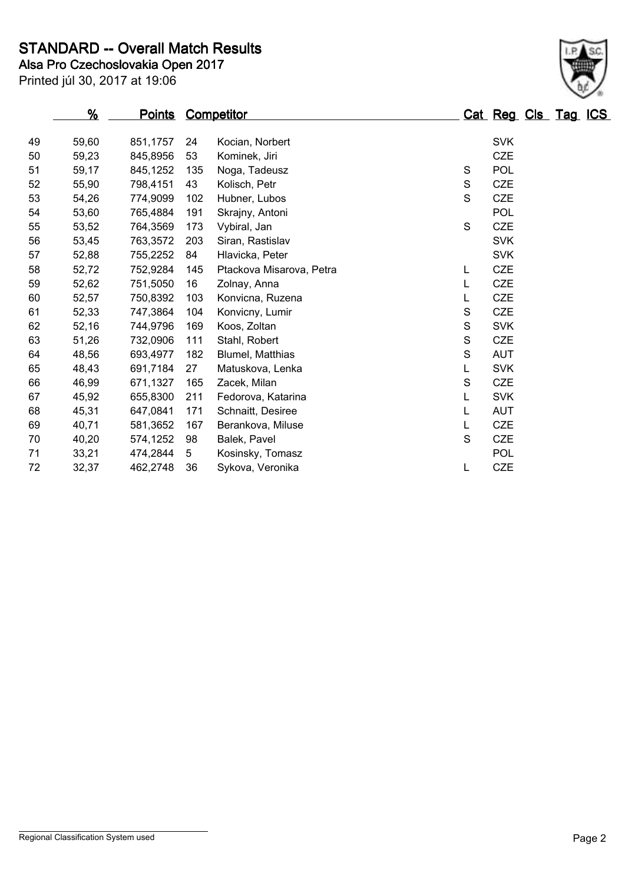**STANDARD -- Overall Match Results**

**Alsa Pro Czechoslovakia Open 2017**

| Printed júl 30, 2017 at 19:06 |  |  |  |  |  |
|-------------------------------|--|--|--|--|--|
|-------------------------------|--|--|--|--|--|

|    | %     | <u>Points</u> | <b>Competitor</b> |                          |   | Cat Reg Cls Tag ICS |  |  |
|----|-------|---------------|-------------------|--------------------------|---|---------------------|--|--|
| 49 | 59,60 | 851,1757      | 24                | Kocian, Norbert          |   | <b>SVK</b>          |  |  |
| 50 | 59,23 | 845,8956      | 53                | Kominek, Jiri            |   | <b>CZE</b>          |  |  |
| 51 | 59,17 | 845,1252      | 135               | Noga, Tadeusz            | S | <b>POL</b>          |  |  |
| 52 | 55,90 | 798,4151      | 43                | Kolisch, Petr            | S | <b>CZE</b>          |  |  |
| 53 | 54,26 | 774,9099      | 102               | Hubner, Lubos            | S | CZE                 |  |  |
| 54 | 53,60 | 765,4884      | 191               | Skrajny, Antoni          |   | POL                 |  |  |
| 55 | 53,52 | 764,3569      | 173               | Vybiral, Jan             | S | CZE                 |  |  |
| 56 | 53,45 | 763,3572      | 203               | Siran, Rastislav         |   | <b>SVK</b>          |  |  |
| 57 | 52,88 | 755,2252      | 84                | Hlavicka, Peter          |   | <b>SVK</b>          |  |  |
| 58 | 52,72 | 752,9284      | 145               | Ptackova Misarova, Petra | L | <b>CZE</b>          |  |  |
| 59 | 52,62 | 751,5050      | 16                | Zolnay, Anna             | L | <b>CZE</b>          |  |  |
| 60 | 52,57 | 750,8392      | 103               | Konvicna, Ruzena         | L | <b>CZE</b>          |  |  |
| 61 | 52,33 | 747,3864      | 104               | Konvicny, Lumir          | S | <b>CZE</b>          |  |  |
| 62 | 52,16 | 744,9796      | 169               | Koos, Zoltan             | S | <b>SVK</b>          |  |  |
| 63 | 51,26 | 732,0906      | 111               | Stahl, Robert            | S | <b>CZE</b>          |  |  |
| 64 | 48,56 | 693,4977      | 182               | Blumel, Matthias         | S | <b>AUT</b>          |  |  |
| 65 | 48,43 | 691,7184      | 27                | Matuskova, Lenka         | L | <b>SVK</b>          |  |  |
| 66 | 46,99 | 671,1327      | 165               | Zacek, Milan             | S | <b>CZE</b>          |  |  |
| 67 | 45,92 | 655,8300      | 211               | Fedorova, Katarina       | L | <b>SVK</b>          |  |  |
| 68 | 45,31 | 647,0841      | 171               | Schnaitt, Desiree        | L | <b>AUT</b>          |  |  |
| 69 | 40,71 | 581,3652      | 167               | Berankova, Miluse        | L | <b>CZE</b>          |  |  |
| 70 | 40,20 | 574,1252      | 98                | Balek, Pavel             | S | <b>CZE</b>          |  |  |
| 71 | 33,21 | 474,2844      | 5                 | Kosinsky, Tomasz         |   | POL                 |  |  |
| 72 | 32,37 | 462,2748      | 36                | Sykova, Veronika         | L | <b>CZE</b>          |  |  |
|    |       |               |                   |                          |   |                     |  |  |